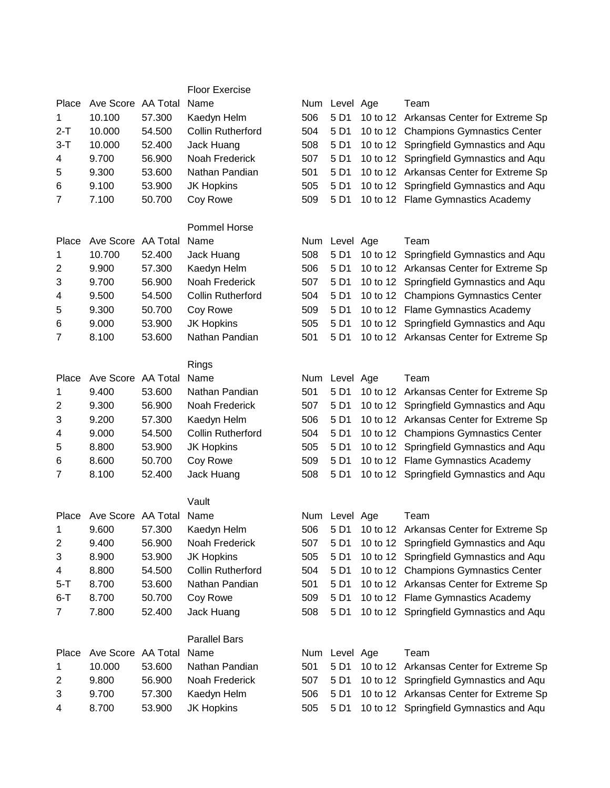|                |                               |        | <b>Floor Exercise</b>    |            |               |          |                                         |
|----------------|-------------------------------|--------|--------------------------|------------|---------------|----------|-----------------------------------------|
| Place          | Ave Score AA Total            |        | Name                     | Num        | Level Age     |          | Team                                    |
| 1              | 10.100                        | 57.300 | Kaedyn Helm              | 506        | 5 D1          |          | 10 to 12 Arkansas Center for Extreme Sp |
| $2-T$          | 10.000                        | 54.500 | <b>Collin Rutherford</b> | 504        | 5 D1          |          | 10 to 12 Champions Gymnastics Center    |
| $3 - T$        | 10.000                        | 52.400 | Jack Huang               | 508        | 5 D1          |          | 10 to 12 Springfield Gymnastics and Aqu |
| 4              | 9.700                         | 56.900 | Noah Frederick           | 507        | 5 D1          |          | 10 to 12 Springfield Gymnastics and Aqu |
| 5              | 9.300                         | 53.600 | Nathan Pandian           | 501        | 5 D1          |          | 10 to 12 Arkansas Center for Extreme Sp |
| 6              | 9.100                         | 53.900 | <b>JK Hopkins</b>        | 505        | 5 D1          |          | 10 to 12 Springfield Gymnastics and Aqu |
| $\overline{7}$ | 7.100                         | 50.700 | Coy Rowe                 | 509        | 5 D1          |          | 10 to 12 Flame Gymnastics Academy       |
|                |                               |        | <b>Pommel Horse</b>      |            |               |          |                                         |
| Place          | Ave Score AA Total            |        | Name                     | <b>Num</b> | Level Age     |          | Team                                    |
| 1              | 10.700                        | 52.400 | Jack Huang               | 508        | 5 D1          | 10 to 12 | Springfield Gymnastics and Aqu          |
| $\overline{c}$ | 9.900                         | 57.300 | Kaedyn Helm              | 506        | 5 D1          |          | 10 to 12 Arkansas Center for Extreme Sp |
| 3              | 9.700                         | 56.900 | Noah Frederick           | 507        | 5 D1          |          | 10 to 12 Springfield Gymnastics and Aqu |
| 4              | 9.500                         | 54.500 | <b>Collin Rutherford</b> | 504        | 5 D1          |          | 10 to 12 Champions Gymnastics Center    |
| 5              | 9.300                         | 50.700 | Coy Rowe                 | 509        | 5 D1          |          | 10 to 12 Flame Gymnastics Academy       |
| 6              | 9.000                         | 53.900 | <b>JK Hopkins</b>        | 505        | 5 D1          |          | 10 to 12 Springfield Gymnastics and Aqu |
| 7              | 8.100                         | 53.600 | Nathan Pandian           | 501        | 5 D1          |          | 10 to 12 Arkansas Center for Extreme Sp |
|                |                               |        | Rings                    |            |               |          |                                         |
| Place          | Ave Score AA Total            |        | Name                     | Num        | Level Age     |          | Team                                    |
| 1              | 9.400                         | 53.600 | Nathan Pandian           | 501        | 5 D1          |          | 10 to 12 Arkansas Center for Extreme Sp |
| $\overline{c}$ | 9.300                         | 56.900 | Noah Frederick           | 507        | 5 D1          |          | 10 to 12 Springfield Gymnastics and Aqu |
| 3              | 9.200                         | 57.300 | Kaedyn Helm              | 506        | 5 D1          |          | 10 to 12 Arkansas Center for Extreme Sp |
| 4              | 9.000                         | 54.500 | <b>Collin Rutherford</b> | 504        | 5 D1          |          | 10 to 12 Champions Gymnastics Center    |
| 5              | 8.800                         | 53.900 | <b>JK Hopkins</b>        | 505        | 5 D1          |          | 10 to 12 Springfield Gymnastics and Aqu |
| 6              | 8.600                         | 50.700 | Coy Rowe                 | 509        | 5 D1          |          | 10 to 12 Flame Gymnastics Academy       |
| 7              | 8.100                         | 52.400 | Jack Huang               | 508        | 5 D1          |          | 10 to 12 Springfield Gymnastics and Aqu |
|                |                               |        | Vault                    |            |               |          |                                         |
|                | Place Ave Score AA Total Name |        |                          |            | Num Level Age |          | Team                                    |
| 1              | 9.600                         | 57.300 | Kaedyn Helm              | 506        | 5 D1          |          | 10 to 12 Arkansas Center for Extreme Sp |
| $\overline{c}$ | 9.400                         | 56.900 | Noah Frederick           | 507        | 5 D1          |          | 10 to 12 Springfield Gymnastics and Aqu |
| 3              | 8.900                         | 53.900 | <b>JK Hopkins</b>        | 505        | 5 D1          |          | 10 to 12 Springfield Gymnastics and Aqu |
| 4              | 8.800                         | 54.500 | <b>Collin Rutherford</b> | 504        | 5 D1          |          | 10 to 12 Champions Gymnastics Center    |
| $5-T$          | 8.700                         | 53.600 | Nathan Pandian           | 501        | 5 D1          |          | 10 to 12 Arkansas Center for Extreme Sp |
| $6 - T$        | 8.700                         | 50.700 | Coy Rowe                 | 509        | 5 D1          |          | 10 to 12 Flame Gymnastics Academy       |
| 7              | 7.800                         | 52.400 | Jack Huang               | 508        | 5 D1          |          | 10 to 12 Springfield Gymnastics and Aqu |
|                |                               |        | <b>Parallel Bars</b>     |            |               |          |                                         |
| Place          | Ave Score AA Total            |        | Name                     | Num        | Level Age     |          | Team                                    |
| 1              | 10.000                        | 53.600 | Nathan Pandian           | 501        | 5 D1          | 10 to 12 | Arkansas Center for Extreme Sp          |
| 2              | 9.800                         | 56.900 | Noah Frederick           | 507        | 5 D1          |          | 10 to 12 Springfield Gymnastics and Aqu |
| 3              | 9.700                         | 57.300 | Kaedyn Helm              | 506        | 5 D1          |          | 10 to 12 Arkansas Center for Extreme Sp |
| 4              | 8.700                         | 53.900 | <b>JK Hopkins</b>        | 505        | 5 D1          |          | 10 to 12 Springfield Gymnastics and Aqu |

|     | Num Level Age | Team                                    |
|-----|---------------|-----------------------------------------|
| 506 | 5 D1          | 10 to 12 Arkansas Center for Extreme Sp |
| 504 | 5 D1          | 10 to 12 Champions Gymnastics Center    |
| 508 | 5 D1          | 10 to 12 Springfield Gymnastics and Aqu |
| 507 | 5 D1          | 10 to 12 Springfield Gymnastics and Aqu |
| 501 | 5 D1          | 10 to 12 Arkansas Center for Extreme Sp |
| 505 | 5 D1          | 10 to 12 Springfield Gymnastics and Aqu |
| 509 | 5 D1          | 10 to 12 Flame Gymnastics Academy       |
|     |               |                                         |

|     | Num Level Age | Team                                    |
|-----|---------------|-----------------------------------------|
| 508 | 5 D1          | 10 to 12 Springfield Gymnastics and Aqu |
| 506 | 5 D1          | 10 to 12 Arkansas Center for Extreme Sp |
| 507 | 5 D1          | 10 to 12 Springfield Gymnastics and Aqu |
| 504 | 5 D1          | 10 to 12 Champions Gymnastics Center    |
| 509 | 5 D1          | 10 to 12 Flame Gymnastics Academy       |
| 505 | 5 D1          | 10 to 12 Springfield Gymnastics and Aqu |
| 501 | 5 D1          | 10 to 12 Arkansas Center for Extreme Sp |

|     | Num Level Age | Team                                         |
|-----|---------------|----------------------------------------------|
| 501 |               | 5 D1 10 to 12 Arkansas Center for Extreme Sp |
|     |               |                                              |
| 507 |               | 5 D1 10 to 12 Springfield Gymnastics and Aqu |
| 506 |               | 5 D1 10 to 12 Arkansas Center for Extreme Sp |
| 504 |               | 5 D1 10 to 12 Champions Gymnastics Center    |
| 505 |               | 5 D1 10 to 12 Springfield Gymnastics and Aqu |
| 509 |               | 5 D1 10 to 12 Flame Gymnastics Academy       |
| 508 |               | 5 D1 10 to 12 Springfield Gymnastics and Aqu |

|     | Num Level Age | Team                                         |
|-----|---------------|----------------------------------------------|
| 506 |               | 5 D1 10 to 12 Arkansas Center for Extreme Sp |
| 507 |               | 5 D1 10 to 12 Springfield Gymnastics and Aqu |
| 505 |               | 5 D1 10 to 12 Springfield Gymnastics and Aqu |
| 504 |               | 5 D1 10 to 12 Champions Gymnastics Center    |
| 501 | 5 D1          | 10 to 12 Arkansas Center for Extreme Sp      |
| 509 | 5 D1          | 10 to 12 Flame Gymnastics Academy            |
| 508 |               | 5 D1 10 to 12 Springfield Gymnastics and Aqu |

|  | Num Level Age | Team                                             |
|--|---------------|--------------------------------------------------|
|  |               | 501 5 D1 10 to 12 Arkansas Center for Extreme Sp |
|  |               | 507 5 D1 10 to 12 Springfield Gymnastics and Aqu |
|  |               | 506 5 D1 10 to 12 Arkansas Center for Extreme Sp |
|  |               | 505 5 D1 10 to 12 Springfield Gymnastics and Aqu |
|  |               |                                                  |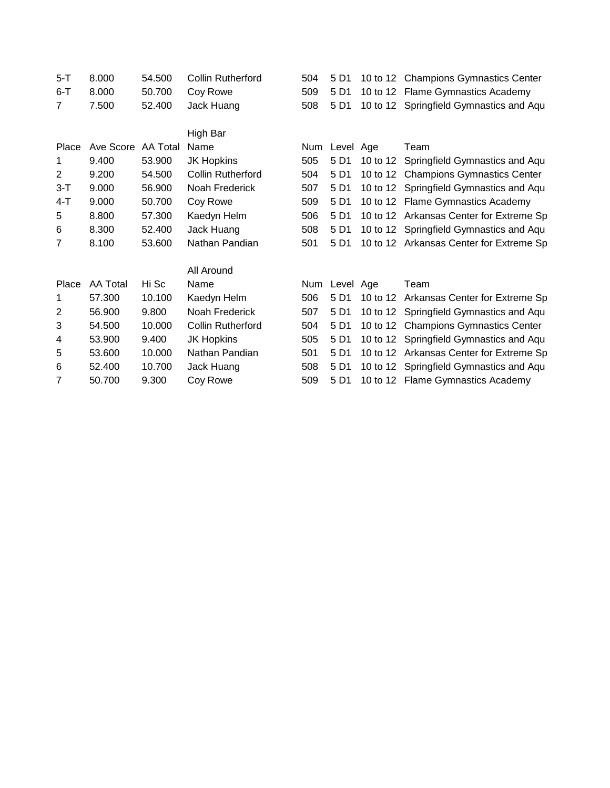| $5 - T$        | 8.000              | 54.500 | <b>Collin Rutherford</b> | 504 | 5 D1          |          | 10 to 12 Champions Gymnastics Center    |
|----------------|--------------------|--------|--------------------------|-----|---------------|----------|-----------------------------------------|
| $6-T$          | 8.000              | 50.700 | Coy Rowe                 | 509 | 5 D1          |          | 10 to 12 Flame Gymnastics Academy       |
| $\overline{7}$ | 7.500              | 52.400 | Jack Huang               | 508 | 5 D1          |          | 10 to 12 Springfield Gymnastics and Aqu |
|                |                    |        |                          |     |               |          |                                         |
|                |                    |        | High Bar                 |     |               |          |                                         |
| Place          | Ave Score AA Total |        | Name                     | Num | Level Age     |          | Team                                    |
| 1              | 9.400              | 53.900 | <b>JK Hopkins</b>        | 505 | 5 D1          | 10 to 12 | Springfield Gymnastics and Aqu          |
| $\overline{2}$ | 9.200              | 54.500 | <b>Collin Rutherford</b> | 504 | 5 D1          |          | 10 to 12 Champions Gymnastics Center    |
| $3 - T$        | 9.000              | 56.900 | Noah Frederick           | 507 | 5 D1          |          | 10 to 12 Springfield Gymnastics and Aqu |
| $4 - T$        | 9.000              | 50.700 | Coy Rowe                 | 509 | 5 D1          |          | 10 to 12 Flame Gymnastics Academy       |
| 5              | 8.800              | 57.300 | Kaedyn Helm              | 506 | 5 D1          |          | 10 to 12 Arkansas Center for Extreme Sp |
| 6              | 8.300              | 52.400 | Jack Huang               | 508 | 5 D1          |          | 10 to 12 Springfield Gymnastics and Aqu |
| 7              | 8.100              | 53.600 | Nathan Pandian           | 501 | 5 D1          |          | 10 to 12 Arkansas Center for Extreme Sp |
|                |                    |        | All Around               |     |               |          |                                         |
| Place          | AA Total           | Hi Sc  | Name                     |     | Num Level Age |          | Team                                    |
| 1              | 57.300             | 10.100 | Kaedyn Helm              | 506 | 5 D1          | 10 to 12 | Arkansas Center for Extreme Sp          |
| $\overline{2}$ | 56.900             | 9.800  | Noah Frederick           | 507 | 5 D1          |          | 10 to 12 Springfield Gymnastics and Aqu |
| 3              | 54.500             | 10.000 | <b>Collin Rutherford</b> | 504 | 5 D1          | 10 to 12 | <b>Champions Gymnastics Center</b>      |
| 4              | 53.900             | 9.400  | JK Hopkins               | 505 | 5 D1          | 10 to 12 | Springfield Gymnastics and Aqu          |
| 5              | 53.600             | 10.000 | Nathan Pandian           | 501 | 5 D1          |          | 10 to 12 Arkansas Center for Extreme Sp |
| 6              | 52.400             | 10.700 | Jack Huang               | 508 | 5 D1          |          | 10 to 12 Springfield Gymnastics and Aqu |
| 7              | 50.700             | 9.300  | Coy Rowe                 | 509 | 5 D1          |          | 10 to 12 Flame Gymnastics Academy       |
|                |                    |        |                          |     |               |          |                                         |